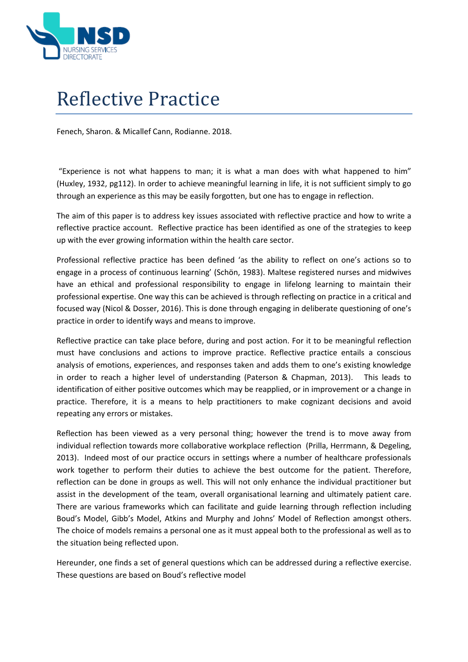

## Reflective Practice

Fenech, Sharon. & Micallef Cann, Rodianne. 2018.

"Experience is not what happens to man; it is what a man does with what happened to him" (Huxley, 1932, pg112). In order to achieve meaningful learning in life, it is not sufficient simply to go through an experience as this may be easily forgotten, but one has to engage in reflection.

The aim of this paper is to address key issues associated with reflective practice and how to write a reflective practice account. Reflective practice has been identified as one of the strategies to keep up with the ever growing information within the health care sector.

Professional reflective practice has been defined 'as the ability to reflect on one's actions so to engage in a process of continuous learning' (Schön, 1983). Maltese registered nurses and midwives have an ethical and professional responsibility to engage in lifelong learning to maintain their professional expertise. One way this can be achieved is through reflecting on practice in a critical and focused way (Nicol & Dosser, 2016). This is done through engaging in deliberate questioning of one's practice in order to identify ways and means to improve.

Reflective practice can take place before, during and post action. For it to be meaningful reflection must have conclusions and actions to improve practice. Reflective practice entails a conscious analysis of emotions, experiences, and responses taken and adds them to one's existing knowledge in order to reach a higher level of understanding (Paterson & Chapman, 2013). This leads to identification of either positive outcomes which may be reapplied, or in improvement or a change in practice. Therefore, it is a means to help practitioners to make cognizant decisions and avoid repeating any errors or mistakes.

Reflection has been viewed as a very personal thing; however the trend is to move away from individual reflection towards more collaborative workplace reflection (Prilla, Herrmann, & Degeling, 2013). Indeed most of our practice occurs in settings where a number of healthcare professionals work together to perform their duties to achieve the best outcome for the patient. Therefore, reflection can be done in groups as well. This will not only enhance the individual practitioner but assist in the development of the team, overall organisational learning and ultimately patient care. There are various frameworks which can facilitate and guide learning through reflection including Boud's Model, Gibb's Model, Atkins and Murphy and Johns' Model of Reflection amongst others. The choice of models remains a personal one as it must appeal both to the professional as well as to the situation being reflected upon.

Hereunder, one finds a set of general questions which can be addressed during a reflective exercise. These questions are based on Boud's reflective model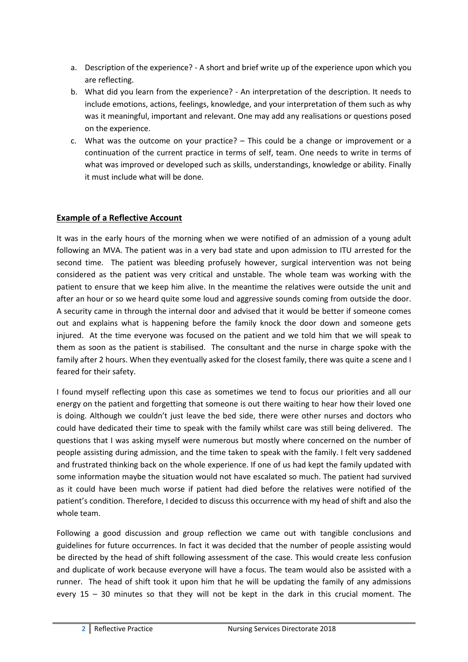- a. Description of the experience? A short and brief write up of the experience upon which you are reflecting.
- b. What did you learn from the experience? An interpretation of the description. It needs to include emotions, actions, feelings, knowledge, and your interpretation of them such as why was it meaningful, important and relevant. One may add any realisations or questions posed on the experience.
- c. What was the outcome on your practice? This could be a change or improvement or a continuation of the current practice in terms of self, team. One needs to write in terms of what was improved or developed such as skills, understandings, knowledge or ability. Finally it must include what will be done.

## **Example of a Reflective Account**

It was in the early hours of the morning when we were notified of an admission of a young adult following an MVA. The patient was in a very bad state and upon admission to ITU arrested for the second time. The patient was bleeding profusely however, surgical intervention was not being considered as the patient was very critical and unstable. The whole team was working with the patient to ensure that we keep him alive. In the meantime the relatives were outside the unit and after an hour or so we heard quite some loud and aggressive sounds coming from outside the door. A security came in through the internal door and advised that it would be better if someone comes out and explains what is happening before the family knock the door down and someone gets injured. At the time everyone was focused on the patient and we told him that we will speak to them as soon as the patient is stabilised. The consultant and the nurse in charge spoke with the family after 2 hours. When they eventually asked for the closest family, there was quite a scene and I feared for their safety.

I found myself reflecting upon this case as sometimes we tend to focus our priorities and all our energy on the patient and forgetting that someone is out there waiting to hear how their loved one is doing. Although we couldn't just leave the bed side, there were other nurses and doctors who could have dedicated their time to speak with the family whilst care was still being delivered. The questions that I was asking myself were numerous but mostly where concerned on the number of people assisting during admission, and the time taken to speak with the family. I felt very saddened and frustrated thinking back on the whole experience. If one of us had kept the family updated with some information maybe the situation would not have escalated so much. The patient had survived as it could have been much worse if patient had died before the relatives were notified of the patient's condition. Therefore, I decided to discuss this occurrence with my head of shift and also the whole team.

Following a good discussion and group reflection we came out with tangible conclusions and guidelines for future occurrences. In fact it was decided that the number of people assisting would be directed by the head of shift following assessment of the case. This would create less confusion and duplicate of work because everyone will have a focus. The team would also be assisted with a runner. The head of shift took it upon him that he will be updating the family of any admissions every 15 – 30 minutes so that they will not be kept in the dark in this crucial moment. The